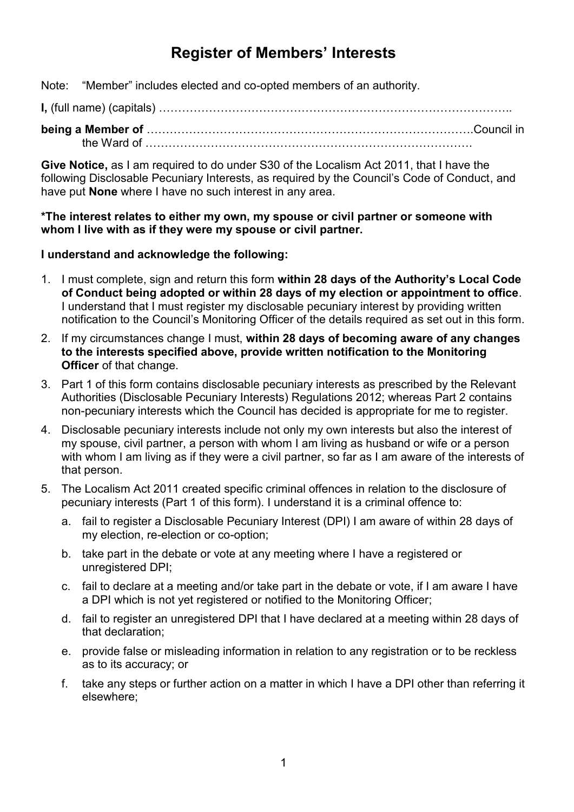# **Register of Members' Interests**

Note: "Member" includes elected and co-opted members of an authority.

**I,** (full name) (capitals) ………………………………………………………………………………..

**being a Member of** ………………………………………………………………………….Council in the Ward of ………………………………………………………………………….

**Give Notice,** as I am required to do under S30 of the Localism Act 2011, that I have the following Disclosable Pecuniary Interests, as required by the Council's Code of Conduct, and have put **None** where I have no such interest in any area.

#### **\*The interest relates to either my own, my spouse or civil partner or someone with whom I live with as if they were my spouse or civil partner.**

### **I understand and acknowledge the following:**

- 1. I must complete, sign and return this form **within 28 days of the Authority's Local Code of Conduct being adopted or within 28 days of my election or appointment to office**. I understand that I must register my disclosable pecuniary interest by providing written notification to the Council's Monitoring Officer of the details required as set out in this form.
- 2. If my circumstances change I must, **within 28 days of becoming aware of any changes to the interests specified above, provide written notification to the Monitoring Officer** of that change.
- 3. Part 1 of this form contains disclosable pecuniary interests as prescribed by the Relevant Authorities (Disclosable Pecuniary Interests) Regulations 2012; whereas Part 2 contains non-pecuniary interests which the Council has decided is appropriate for me to register.
- 4. Disclosable pecuniary interests include not only my own interests but also the interest of my spouse, civil partner, a person with whom I am living as husband or wife or a person with whom I am living as if they were a civil partner, so far as I am aware of the interests of that person.
- 5. The Localism Act 2011 created specific criminal offences in relation to the disclosure of pecuniary interests (Part 1 of this form). I understand it is a criminal offence to:
	- a. fail to register a Disclosable Pecuniary Interest (DPI) I am aware of within 28 days of my election, re-election or co-option;
	- b. take part in the debate or vote at any meeting where I have a registered or unregistered DPI;
	- c. fail to declare at a meeting and/or take part in the debate or vote, if I am aware I have a DPI which is not yet registered or notified to the Monitoring Officer;
	- d. fail to register an unregistered DPI that I have declared at a meeting within 28 days of that declaration;
	- e. provide false or misleading information in relation to any registration or to be reckless as to its accuracy; or
	- f. take any steps or further action on a matter in which I have a DPI other than referring it elsewhere;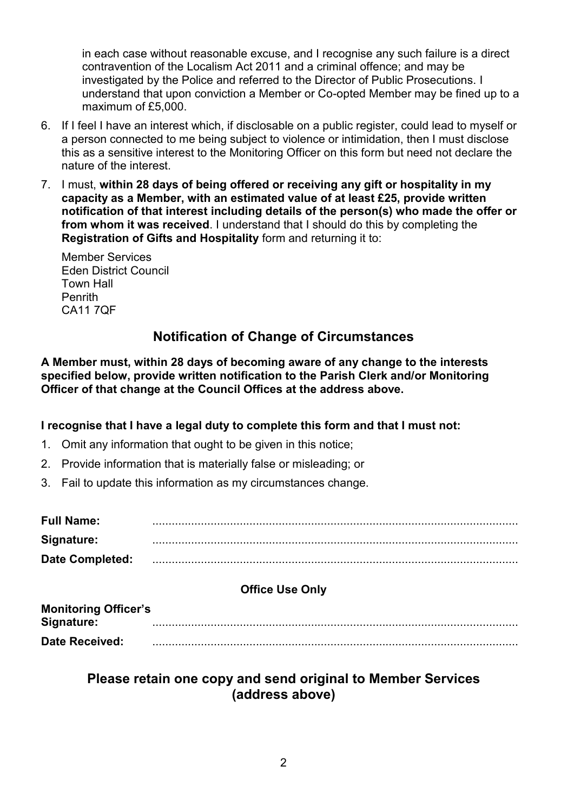in each case without reasonable excuse, and I recognise any such failure is a direct contravention of the Localism Act 2011 and a criminal offence; and may be investigated by the Police and referred to the Director of Public Prosecutions. I understand that upon conviction a Member or Co-opted Member may be fined up to a maximum of £5,000.

- 6. If I feel I have an interest which, if disclosable on a public register, could lead to myself or a person connected to me being subject to violence or intimidation, then I must disclose this as a sensitive interest to the Monitoring Officer on this form but need not declare the nature of the interest.
- 7. I must, **within 28 days of being offered or receiving any gift or hospitality in my capacity as a Member, with an estimated value of at least £25, provide written notification of that interest including details of the person(s) who made the offer or from whom it was received**. I understand that I should do this by completing the **Registration of Gifts and Hospitality** form and returning it to:

 Member Services Eden District Council Town Hall Penrith CA11 7QF

# **Notification of Change of Circumstances**

**A Member must, within 28 days of becoming aware of any change to the interests specified below, provide written notification to the Parish Clerk and/or Monitoring Officer of that change at the Council Offices at the address above.**

#### **I recognise that I have a legal duty to complete this form and that I must not:**

- 1. Omit any information that ought to be given in this notice;
- 2. Provide information that is materially false or misleading; or
- 3. Fail to update this information as my circumstances change.

| <b>Full Name:</b> |  |
|-------------------|--|
| Signature:        |  |
| Date Completed:   |  |

### **Office Use Only**

| <b>Monitoring Officer's</b> |  |
|-----------------------------|--|
| Signature:                  |  |
| <b>Date Received:</b>       |  |

# **Please retain one copy and send original to Member Services (address above)**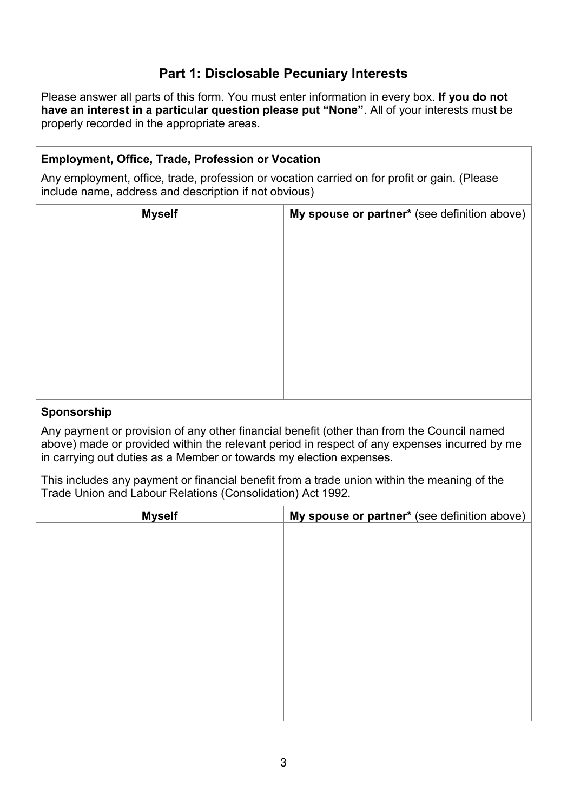# **Part 1: Disclosable Pecuniary Interests**

Please answer all parts of this form. You must enter information in every box. **If you do not have an interest in a particular question please put "None"**. All of your interests must be properly recorded in the appropriate areas.

### **Employment, Office, Trade, Profession or Vocation**

Any employment, office, trade, profession or vocation carried on for profit or gain. (Please include name, address and description if not obvious)

| <b>Myself</b> | My spouse or partner* (see definition above) |
|---------------|----------------------------------------------|
|               |                                              |
|               |                                              |
|               |                                              |
|               |                                              |
|               |                                              |
|               |                                              |
|               |                                              |
|               |                                              |
|               |                                              |
|               |                                              |
|               |                                              |

#### **Sponsorship**

Any payment or provision of any other financial benefit (other than from the Council named above) made or provided within the relevant period in respect of any expenses incurred by me in carrying out duties as a Member or towards my election expenses.

This includes any payment or financial benefit from a trade union within the meaning of the Trade Union and Labour Relations (Consolidation) Act 1992.

| <b>Myself</b> | My spouse or partner* (see definition above) |
|---------------|----------------------------------------------|
|               |                                              |
|               |                                              |
|               |                                              |
|               |                                              |
|               |                                              |
|               |                                              |
|               |                                              |
|               |                                              |
|               |                                              |
|               |                                              |
|               |                                              |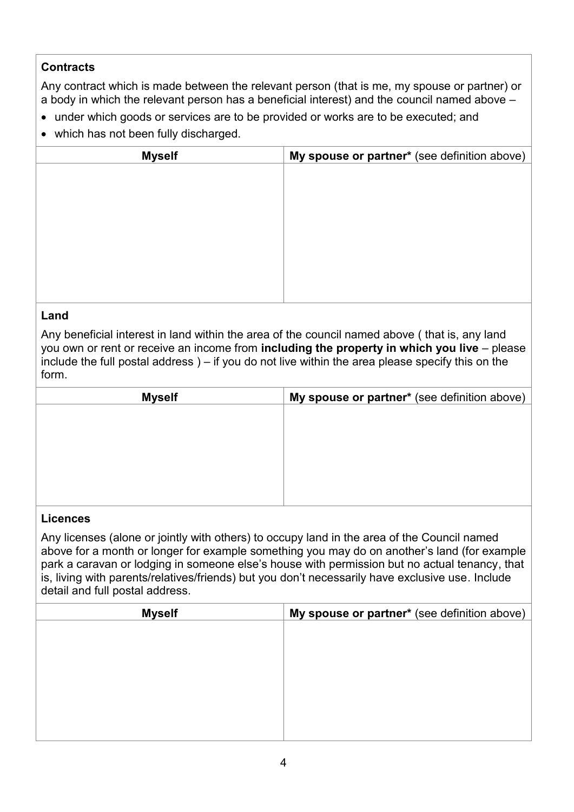### **Contracts**

Any contract which is made between the relevant person (that is me, my spouse or partner) or a body in which the relevant person has a beneficial interest) and the council named above  $-$ 

- under which goods or services are to be provided or works are to be executed; and
- which has not been fully discharged.

| <b>Myself</b> | My spouse or partner* (see definition above) |
|---------------|----------------------------------------------|
|               |                                              |
|               |                                              |
|               |                                              |
|               |                                              |
|               |                                              |
|               |                                              |
|               |                                              |
|               |                                              |
|               |                                              |

### **Land**

Any beneficial interest in land within the area of the council named above ( that is, any land you own or rent or receive an income from **including the property in which you live** – please include the full postal address ) – if you do not live within the area please specify this on the form.

| <b>Myself</b> | My spouse or partner* (see definition above) |
|---------------|----------------------------------------------|
|               |                                              |
|               |                                              |
|               |                                              |
|               |                                              |
|               |                                              |
|               |                                              |

#### **Licences**

Any licenses (alone or jointly with others) to occupy land in the area of the Council named above for a month or longer for example something you may do on another's land (for example park a caravan or lodging in someone else's house with permission but no actual tenancy, that is, living with parents/relatives/friends) but you don't necessarily have exclusive use. Include detail and full postal address.

| <b>Myself</b> | My spouse or partner* (see definition above) |
|---------------|----------------------------------------------|
|               |                                              |
|               |                                              |
|               |                                              |
|               |                                              |
|               |                                              |
|               |                                              |
|               |                                              |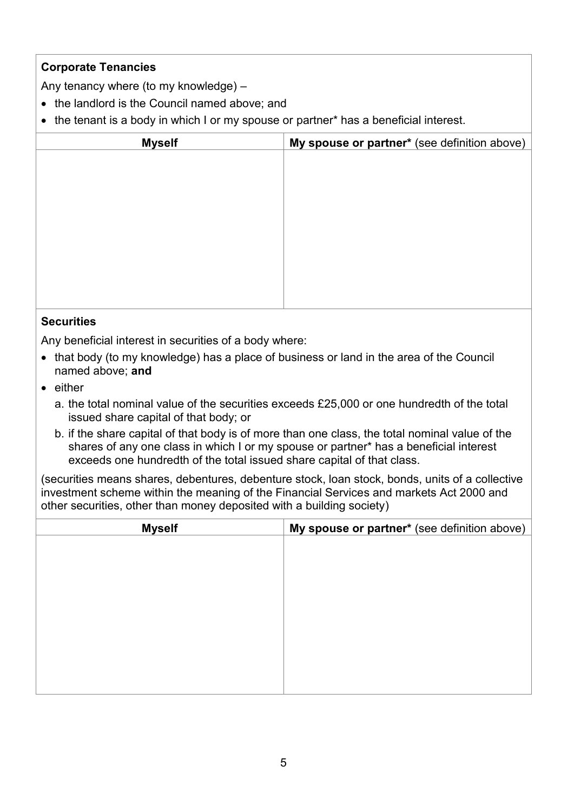## **Corporate Tenancies**

Any tenancy where (to my knowledge) –

- the landlord is the Council named above; and
- the tenant is a body in which I or my spouse or partner\* has a beneficial interest.

| <b>Myself</b> | My spouse or partner* (see definition above) |
|---------------|----------------------------------------------|
|               |                                              |
|               |                                              |
|               |                                              |
|               |                                              |
|               |                                              |
|               |                                              |
|               |                                              |
|               |                                              |
|               |                                              |

#### **Securities**

Any beneficial interest in securities of a body where:

- that body (to my knowledge) has a place of business or land in the area of the Council named above; **and**
- either
	- a. the total nominal value of the securities exceeds £25,000 or one hundredth of the total issued share capital of that body; or
	- b. if the share capital of that body is of more than one class, the total nominal value of the shares of any one class in which I or my spouse or partner\* has a beneficial interest exceeds one hundredth of the total issued share capital of that class.

(securities means shares, debentures, debenture stock, loan stock, bonds, units of a collective investment scheme within the meaning of the Financial Services and markets Act 2000 and other securities, other than money deposited with a building society)

| <b>Myself</b> | My spouse or partner* (see definition above) |
|---------------|----------------------------------------------|
|               |                                              |
|               |                                              |
|               |                                              |
|               |                                              |
|               |                                              |
|               |                                              |
|               |                                              |
|               |                                              |
|               |                                              |